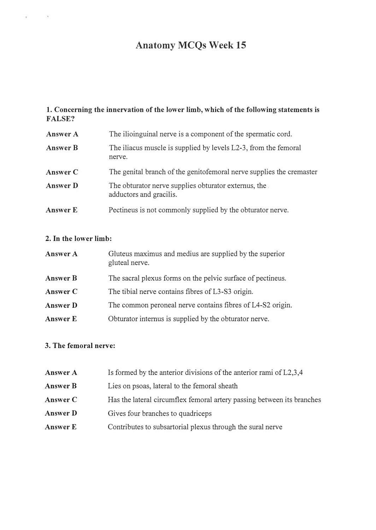# Anatomy MCQs Week 15

# 1. Concerning the innervation of the lower limb, which of the following statements is FALSE?

| <b>Answer A</b> | The ilioinguinal nerve is a component of the spermatic cord.                    |  |
|-----------------|---------------------------------------------------------------------------------|--|
| <b>Answer B</b> | The iliacus muscle is supplied by levels L2-3, from the femoral<br>nerve.       |  |
| Answer C        | The genital branch of the genitofemoral nerve supplies the cremaster            |  |
| Answer D        | The obturator nerve supplies obturator externus, the<br>adductors and gracilis. |  |
| <b>Answer E</b> | Pectineus is not commonly supplied by the obturator nerve.                      |  |

# 2. In the lower limb:

Ġ,

| Answer A        | Gluteus maximus and medius are supplied by the superior<br>gluteal nerve. |  |
|-----------------|---------------------------------------------------------------------------|--|
| <b>Answer B</b> | The sacral plexus forms on the pelvic surface of pectineus.               |  |
| Answer C        | The tibial nerve contains fibres of L3-S3 origin.                         |  |
| <b>Answer D</b> | The common peroneal nerve contains fibres of L4-S2 origin.                |  |
| Answer E        | Obturator internus is supplied by the obturator nerve.                    |  |

#### 3. The femoral nerve:

| Answer A        | Is formed by the anterior divisions of the anterior rami of L2,3,4     |  |
|-----------------|------------------------------------------------------------------------|--|
| <b>Answer B</b> | Lies on psoas, lateral to the femoral sheath                           |  |
| Answer C        | Has the lateral circumflex femoral artery passing between its branches |  |
| Answer D        | Gives four branches to quadriceps                                      |  |
| <b>Answer E</b> | Contributes to subsartorial plexus through the sural nerve             |  |
|                 |                                                                        |  |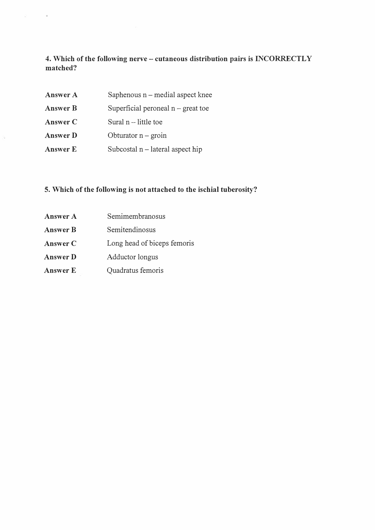4. Which of the following nerve - cutaneous distribution pairs is INCORRECTLY matched?

| <b>Answer A</b> | Saphenous $n$ – medial aspect knee   |
|-----------------|--------------------------------------|
| <b>Answer B</b> | Superficial peroneal $n -$ great toe |
| Answer C        | Sural $n$ – little toe               |
| <b>Answer D</b> | Obturator $n -$ groin                |
| <b>Answer E</b> | Subcostal $n$ – lateral aspect hip   |

# 5. Which of the following is not attached to the ischial tuberosity?

Answer A Answer B Answer C Answer D Answer E Semimembranosus Semitendinosus Long head of biceps femoris Adductor longus Quadratus femoris